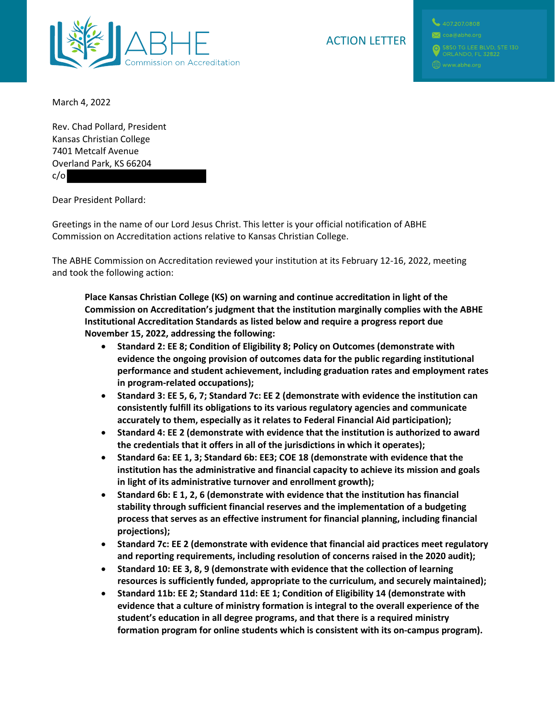

March 4, 2022

Rev. Chad Pollard, President Kansas Christian College 7401 Metcalf Avenue Overland Park, KS 66204 c/o

Dear President Pollard:

Greetings in the name of our Lord Jesus Christ. This letter is your official notification of ABHE Commission on Accreditation actions relative to Kansas Christian College.

The ABHE Commission on Accreditation reviewed your institution at its February 12-16, 2022, meeting and took the following action:

**Place Kansas Christian College (KS) on warning and continue accreditation in light of the Commission on Accreditation's judgment that the institution marginally complies with the ABHE Institutional Accreditation Standards as listed below and require a progress report due November 15, 2022, addressing the following:**

- **Standard 2: EE 8; Condition of Eligibility 8; Policy on Outcomes (demonstrate with evidence the ongoing provision of outcomes data for the public regarding institutional performance and student achievement, including graduation rates and employment rates in program-related occupations);**
- **Standard 3: EE 5, 6, 7; Standard 7c: EE 2 (demonstrate with evidence the institution can consistently fulfill its obligations to its various regulatory agencies and communicate accurately to them, especially as it relates to Federal Financial Aid participation);**
- **Standard 4: EE 2 (demonstrate with evidence that the institution is authorized to award the credentials that it offers in all of the jurisdictions in which it operates);**
- **Standard 6a: EE 1, 3; Standard 6b: EE3; COE 18 (demonstrate with evidence that the institution has the administrative and financial capacity to achieve its mission and goals in light of its administrative turnover and enrollment growth);**
- **Standard 6b: E 1, 2, 6 (demonstrate with evidence that the institution has financial stability through sufficient financial reserves and the implementation of a budgeting process that serves as an effective instrument for financial planning, including financial projections);**
- **Standard 7c: EE 2 (demonstrate with evidence that financial aid practices meet regulatory and reporting requirements, including resolution of concerns raised in the 2020 audit);**
- **Standard 10: EE 3, 8, 9 (demonstrate with evidence that the collection of learning resources is sufficiently funded, appropriate to the curriculum, and securely maintained);**
- **Standard 11b: EE 2; Standard 11d: EE 1; Condition of Eligibility 14 (demonstrate with evidence that a culture of ministry formation is integral to the overall experience of the student's education in all degree programs, and that there is a required ministry formation program for online students which is consistent with its on-campus program).**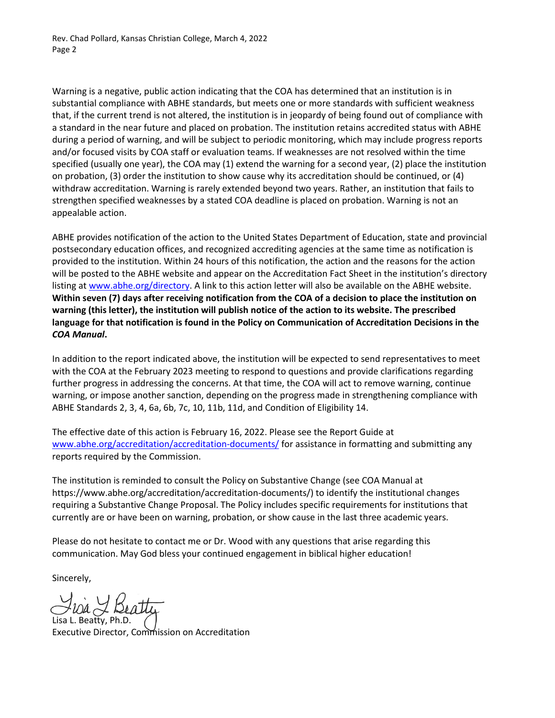Rev. Chad Pollard, Kansas Christian College, March 4, 2022 Page 2

Warning is a negative, public action indicating that the COA has determined that an institution is in substantial compliance with ABHE standards, but meets one or more standards with sufficient weakness that, if the current trend is not altered, the institution is in jeopardy of being found out of compliance with a standard in the near future and placed on probation. The institution retains accredited status with ABHE during a period of warning, and will be subject to periodic monitoring, which may include progress reports and/or focused visits by COA staff or evaluation teams. If weaknesses are not resolved within the time specified (usually one year), the COA may (1) extend the warning for a second year, (2) place the institution on probation, (3) order the institution to show cause why its accreditation should be continued, or (4) withdraw accreditation. Warning is rarely extended beyond two years. Rather, an institution that fails to strengthen specified weaknesses by a stated COA deadline is placed on probation. Warning is not an appealable action.

ABHE provides notification of the action to the United States Department of Education, state and provincial postsecondary education offices, and recognized accrediting agencies at the same time as notification is provided to the institution. Within 24 hours of this notification, the action and the reasons for the action will be posted to the ABHE website and appear on the Accreditation Fact Sheet in the institution's directory listing at [www.abhe.org/directory.](http://www.abhe.org/directory) A link to this action letter will also be available on the ABHE website. **Within seven (7) days after receiving notification from the COA of a decision to place the institution on warning (this letter), the institution will publish notice of the action to its website. The prescribed language for that notification is found in the Policy on Communication of Accreditation Decisions in the**  *COA Manual***.**

In addition to the report indicated above, the institution will be expected to send representatives to meet with the COA at the February 2023 meeting to respond to questions and provide clarifications regarding further progress in addressing the concerns. At that time, the COA will act to remove warning, continue warning, or impose another sanction, depending on the progress made in strengthening compliance with ABHE Standards 2, 3, 4, 6a, 6b, 7c, 10, 11b, 11d, and Condition of Eligibility 14.

The effective date of this action is February 16, 2022. Please see the Report Guide at [www.abhe.org/accreditation/accreditation-documents/](http://www.abhe.org/accreditation/accreditation-documents/) for assistance in formatting and submitting any reports required by the Commission.

The institution is reminded to consult the Policy on Substantive Change (see COA Manual at https://www.abhe.org/accreditation/accreditation-documents/) to identify the institutional changes requiring a Substantive Change Proposal. The Policy includes specific requirements for institutions that currently are or have been on warning, probation, or show cause in the last three academic years.

Please do not hesitate to contact me or Dr. Wood with any questions that arise regarding this communication. May God bless your continued engagement in biblical higher education!

Sincerely,

Lisa L. Beatty, Ph.D. Executive Director, Commission on Accreditation